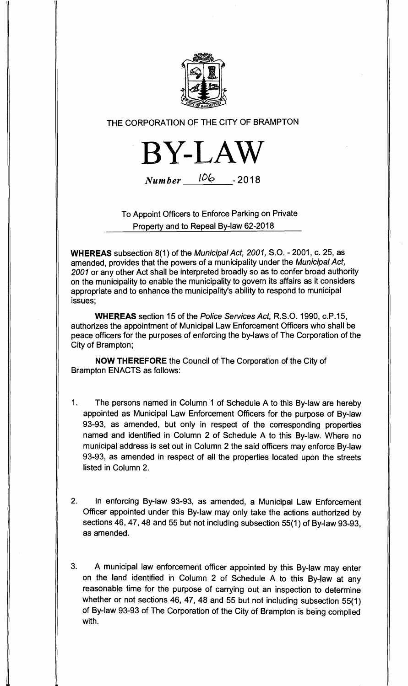

# THE CORPORATION OF THE CITY OF BRAMPTON



**Number**  $106 - 2018$ 

To Appoint Officers to Enforce Parking on Private Property and to Repeal By-law 62-2018

**WHEREAS** subsection 8(1) of the Municipal Act, 2001, S.O. - 2001, c. 25, as amended, provides that the powers of a municipality under the Municipal Act, 2001 or any other Act shall be interpreted broadly so as to confer broad authority on the municipality to enable the municipality to govern its affairs as it considers appropriate and to enhance the municipality's ability to respond to municipal issues;

**WHEREAS** section 15 of the Police Services Act, R.S.O. 1990, c.P.15, authorizes the appointment of Municipal Law Enforcement Officers who shall be peace officers for the purposes of enforcing the by-laws of The Corporation of the City of Brampton;

**NOW THEREFORE** the Council of The Corporation of the City of Brampton ENACTS as follows:

- 1. The persons named in Column 1 of Schedule A to this By-law are hereby appointed as Municipal Law Enforcement Officers for the purpose of By-law 93-93, as amended, but only in respect of the corresponding properties named and identified in Column 2 of Schedule A to this By-law. Where no municipal address is set out in Column 2 the said officers may enforce By-law 93-93, as amended in respect of all the properties located upon the streets listed in Column 2.
- 2. In enforcing By-law 93-93, as amended, a Municipal Law Enforcement Officer appointed under this By-law may only take the actions authorized by sections 46, 47, 48 and 55 but not including subsection 55(1) of By-law 93-93, as amended.
- 3. A municipal law enforcement officer appointed by this By-law may enter on the land identified in Column 2 of Schedule A to this By-law at any reasonable time for the purpose of carrying out an inspection to determine whether or not sections 46, 47, 48 and 55 but not including subsection 55(1) of By-law 93-93 of The Corporation of the City of Brampton is being complied with.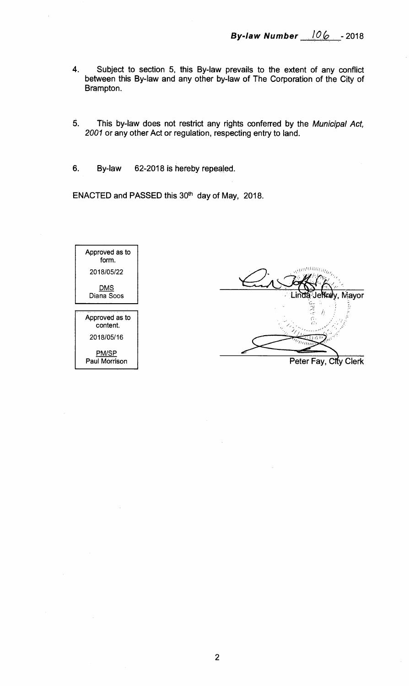- **4. Subject to section 5, this By-law prevails to the extent of any conflict between this By-law and any other by-law of The Corporation of the City of Brampton.**
- **5. This by-law does not restrict any rights conferred by the** Municipal Act, 2001 **or any other Act or regulation, respecting entry to land.**
- **6. By-law 62-2018 is hereby repealed.**

ENACTED and PASSED this 30<sup>th</sup> day of May, 2018.

Approved as to form. 2018/05/22 DMS Diana Soos Approved as to content. 2018/05/16 PM/SP Paul Morrison **Mayor Peter Fay, City Clerk**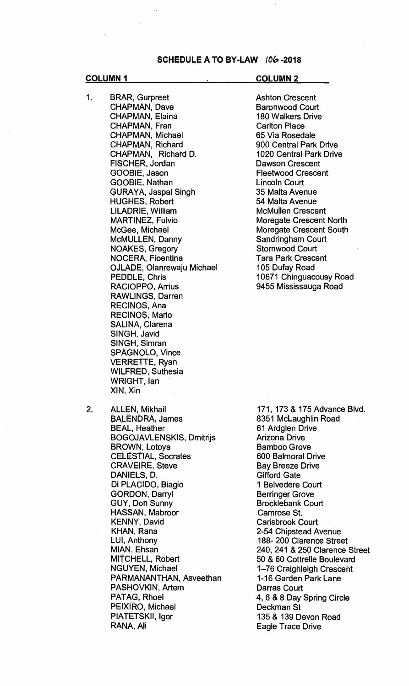### **SCHEDULE A TO BY-LAW 106-2018**

1. BRAR, Gurpreet CHAPMAN, Dave CHAPMAN, Elaina CHAPMAN, Fran CHAPMAN, Michael CHAPMAN, Richard CHAPMAN, Richard D. FISCHER, Jordan GOOBIE, Jason GOOBIE, Nathan GURAYA, Jaspal Singh HUGHES, Robert LILADRIE, William MARTINEZ, Fulvio McGee, Michael McMULLEN, Danny NOAKES, Gregory NOCERA, Fioentina OJLADE, Olanrewaju Michael PEDDLE, Chris RACIOPPO, Arrius RAWLINGS, Darren RECINOS, Ana RECINOS, Mario SALINA, Clarena SINGH, Javid SINGH, Simran SPAGNOLO, Vince VERRETTE, Ryan WILFRED, Suthesia WRIGHT, Ian XIN, Xin

**COLUMN 1 COLUMN 2** 

Ashton Crescent Baronwood Court 180 Walkers Drive Carlton Place 65 Via Rosedale 900 Central Park Drive 1020 Central Park. Drive Dawson Crescent Fleetwood Crescent Lincoln Court 35 Malta Avenue 54 Malta Avenue McMullen Crescent Moregate Crescent North Moregate Crescent South Sandringham Court Stornwood Court Tara Park Crescent 105 Dufay Road 10671 Chinguacousy Road 9455 Mississauga Road

2. ALLEN, Mikhail BALENDRA, James BEAL, Heather BOGOJAVLENSKIS, Dmitrijs BROWN, Lotoya CELESTIAL, Socrates CRAVEIRE, Steve DANIELS, D. Di PLACIDO, Biagio GORDON, Darryl GUY, Don Sunny HASSAN, Mabroor KENNY, David KHAN, Rana LUI, Anthony MIAN, Ehsan MITCHELL, Robert NGUYEN, Michael PARMANANTHAN, Asveethan PASHOVKIN, Artem PATAG, Rhoel PEIXIRO, Michael PIATETSKII, Igor RANA, Ali

171, 173 & 175 Advance Blvd. 8351 McLaughlin Road 61 Ardglen Drive Arizona Drive Bamboo Grove 600 Balmoral Drive Bay Breeze Drive Gifford Gate 1 Belvedere Court Berringer Grove Brocklebank Court Camrose St. Carisbrook Court 2-54 Chipstead Avenue 188- 200 Clarence Street 240, 241 & 250 Clarence Street 50 & 60 Cottrelle Boulevard 1-76 Craighleigh Crescent 1-16 Garden Park Lane Darras Court 4, 6 & 8 Day Spring Circle Deckman St 135 & 139 Devon Road Eagle Trace Drive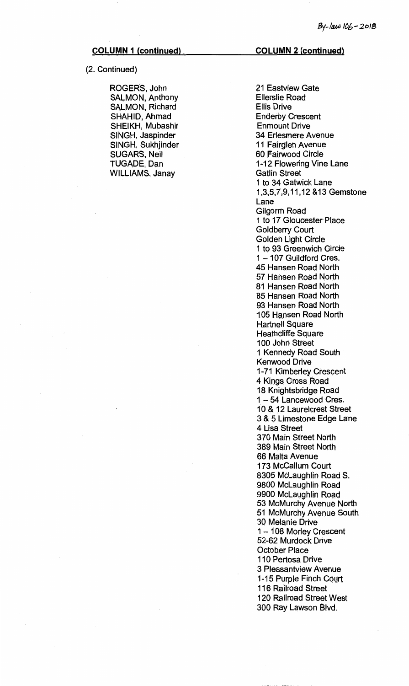## (2. Continued)

ROGER'S, John SALMON, Anthony SALMON, Richard SHAHID, Ahmad SHEIKH, Mubashir SINGH, Jaspinder SINGH, Sukhjinder SUGARS, Neil TUGADE, Dan WILLIAMS, Janay

### **COLUMN 1 (continued) COLUMN 2 (continued)**

21 Eastview Gate Ellerslie Road Ellis Drive Enderby Crescent. Enmount Drive 34 Erlesmere Avenue 11 Fairglen Avenue 60 Fairwood Circle 1-12 Flowering Vine Lane Gatlin Street 1 to 34 Gatwick Lane 1,3,5,7,9,11,12 &13 Gemstone Lane Gilgorm Road 1 to 17 Gloucester Place Goldberry Court. Golden Light Circle 1 to 93 Greenwich Circle<br>1 - 107 Guildford Cres. 45 Hansen Road North 57 Hansen Road North 81 Hansen Road North 85 Hansen Road North 93 Hansen Road North 105 Hansen Road North Hartnell Square Heathcliffe Square 100 John Street 1 Kennedy Road South Kenwood Drive 1-71 Kimberley Crescent 4 Kings Cross Road 18 Knightsbridge Road 1-54 Lancewood Cres. 10 & 12 Laurelcrest Street 3 & 5 Limestone Edge Lane 4 Lisa Street 370 Main Street North 389 Main Street North 66 Malta Avenue 173 McCallum Court 8305 McLaughlin Road S. 9800 McLaughlin Road 9900 McLaughlin Road 53 McMurchy Avenue North 51 McMurchy Avenue South 30 Melanie Drive 1 - 108 Morley Crescent 52-62 Murdock Drive October Place 110 Pertosa Drive 3 Pleasantview Avenue 1-15 Purple Finch Court 116 Railroad Street 120 Railroad Street West 300 Ray Lawson Blvd.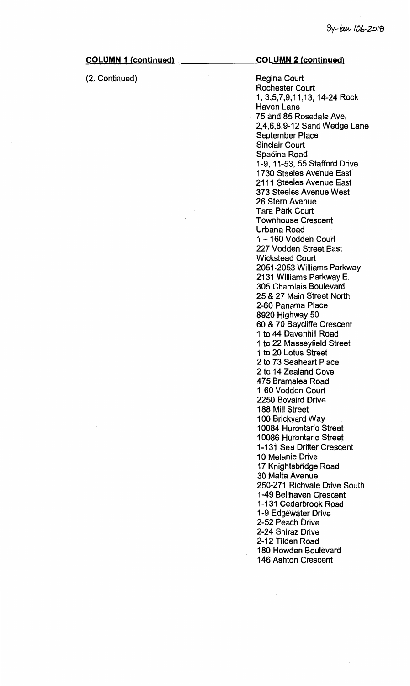| <b>COLUMN 1 (continued)</b> | <b>COLUMN 2 (continued)</b>                                                                                                                                                                                                                                                                                                                                                                  |
|-----------------------------|----------------------------------------------------------------------------------------------------------------------------------------------------------------------------------------------------------------------------------------------------------------------------------------------------------------------------------------------------------------------------------------------|
| (2. Continued)              | <b>Regina Court</b><br><b>Rochester Court</b><br>1, 3,5,7,9,11,13, 14-24 Rock<br>Haven Lane<br>75 and 85 Rosedale Ave.<br>2,4,6,8,9-12 Sand Wedge Lane<br><b>September Place</b><br><b>Sinclair Court</b><br>Spadina Road<br>1-9, 11-53, 55 Stafford Drive<br>1730 Steeles Avenue East<br>2111 Steeles Avenue East<br>373 Steeles Avenue West<br>26 Stern Avenue                             |
|                             | <b>Tara Park Court</b><br><b>Townhouse Crescent</b><br>Urbana Road<br>1-160 Vodden Court<br>227 Vodden Street East<br><b>Wickstead Court</b><br>2051-2053 Williams Parkway<br>2131 Williams Parkway E.<br>305 Charolais Boulevard<br>25 & 27 Main Street North                                                                                                                               |
|                             | 2-60 Panama Place<br>8920 Highway 50<br>60 & 70 Baycliffe Crescent<br>1 to 44 Davenhill Road<br>1 to 22 Masseyfield Street<br>1 to 20 Lotus Street<br>2 to 73 Seaheart Place<br>2 to 14 Zealand Cove<br>475 Bramalea Road<br>1-60 Vodden Court<br>2250 Bovaird Drive<br>188 Mill Street                                                                                                      |
|                             | 100 Brickyard Way<br>10084 Hurontario Street<br>10086 Hurontario Street<br>1-131 Sea Drifter Crescent<br>10 Melanie Drive<br>17 Knightsbridge Road<br>30 Malta Avenue<br>250-271 Richvale Drive South<br>1-49 Bellhaven Crescent<br>1-131 Cedarbrook Road<br>1-9 Edgewater Drive<br>2-52 Peach Drive<br>2-24 Shiraz Drive<br>2-12 Tilden Road<br>180 Howden Boulevard<br>146 Ashton Crescent |

 $\mathcal{L}^{\mathcal{L}}$ 

 $\frac{1}{\sqrt{2}}$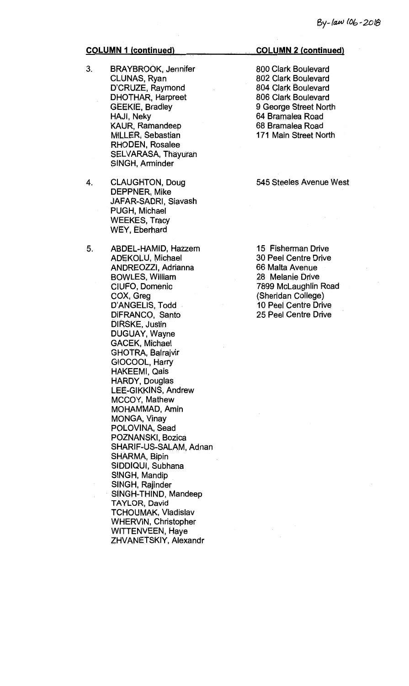- 3. BRAYBROOK, Jennifer CLUNAS, Ryan D'CRUZE, Raymond DHOTHAR, Harpreet GEEKIE, Bradley HAJI, Neky KAUR, Ramandeep MILLER, Sebastian RHODEN, Rosalee SELVARASA, Thayuran SINGH, Arminder
- 4. CLAUGHTON, Doug DEPPNER, Mike JAFAR-SADRI, Siavash PUGH, Michael WEEKES, Tracy WEY, Eberhard
- 5. ABDEL-HAMID, Hazzem ADEKOLU, Michael ANDREOZZI, Adrianna BOWLES, William CIUFO, Domenic COX, Greg D'ANGELIS, Todd DiFRANCO, Santo DIRSKE, Justin DUGUAY, Wayne GACEK, Michael GHOTRA, Balrajvir GIOCOOL, Harry HAKEEMI, Qais HARDY, Douglas LEE-GIKKINS, Andrew MCCOY, Mathew MOHAMMAD, Amin MONGA, Vinay POLOVINA, Sead POZNANSKI, Bozica SHARIF-US-SALAM, Adnan SHARMA, Bipin SIDDIQUI, Subhana SINGH, Mandip SINGH, Rajinder SINGH-THIND, Mandeep TAYLOR, David TCHOUMAK, Vladislav WHERVIN, Christopher WITTENVEEN, Haye ZHVANETSKIY, Alexandr

### **COLUMN 2 (continued)**

800 Clark Boulevard 802 Clark Boulevard 804 Clark Boulevard 806 Clark Boulevard 9 George Street North 64 Bramalea Road 68 Bramalea Road 171 Main Street North

### 545 Steeles Avenue West

15 Fisherman Drive 30 Peel Centre Drive 66 Malta Avenue 28 Melanie Drive 7899 McLaughlin Road (Sheridan College) 10 Peel Centre Drive 25 Peel Centre Drive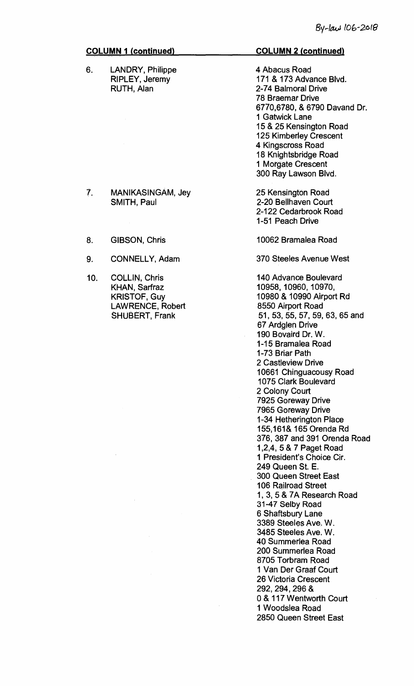$\overline{\mathcal{E}}$ 

| <b>COLUMN 1 (continued)</b>                                                                                      | <b>COLUMN 2 (continued)</b>                                                                                                                                                                                                                                                                                                                                                                                                                                                                                                                                                                                                                                                                                                                                                                                                                                                                   |
|------------------------------------------------------------------------------------------------------------------|-----------------------------------------------------------------------------------------------------------------------------------------------------------------------------------------------------------------------------------------------------------------------------------------------------------------------------------------------------------------------------------------------------------------------------------------------------------------------------------------------------------------------------------------------------------------------------------------------------------------------------------------------------------------------------------------------------------------------------------------------------------------------------------------------------------------------------------------------------------------------------------------------|
| <b>LANDRY, Philippe</b><br><b>RIPLEY, Jeremy</b><br>RUTH, Alan                                                   | 4 Abacus Road<br>171 & 173 Advance Blvd.<br>2-74 Balmoral Drive<br>78 Braemar Drive<br>6770,6780, & 6790 Davand Dr.<br>1 Gatwick Lane<br>15 & 25 Kensington Road<br><b>125 Kimberley Crescent</b><br>4 Kingscross Road<br>18 Knightsbridge Road<br>1 Morgate Crescent<br>300 Ray Lawson Blvd.                                                                                                                                                                                                                                                                                                                                                                                                                                                                                                                                                                                                 |
| <b>MANIKASINGAM, Jey</b><br>SMITH, Paul                                                                          | 25 Kensington Road<br>2-20 Bellhaven Court<br>2-122 Cedarbrook Road<br>1-51 Peach Drive                                                                                                                                                                                                                                                                                                                                                                                                                                                                                                                                                                                                                                                                                                                                                                                                       |
| <b>GIBSON, Chris</b>                                                                                             | 10062 Bramalea Road                                                                                                                                                                                                                                                                                                                                                                                                                                                                                                                                                                                                                                                                                                                                                                                                                                                                           |
| CONNELLY, Adam                                                                                                   | 370 Steeles Avenue West                                                                                                                                                                                                                                                                                                                                                                                                                                                                                                                                                                                                                                                                                                                                                                                                                                                                       |
| <b>COLLIN, Chris</b><br>KHAN, Sarfraz<br><b>KRISTOF, Guy</b><br><b>LAWRENCE, Robert</b><br><b>SHUBERT, Frank</b> | 140 Advance Boulevard<br>10958, 10960, 10970,<br>10980 & 10990 Airport Rd<br>8550 Airport Road<br>51, 53, 55, 57, 59, 63, 65 and<br>67 Ardglen Drive<br>190 Bovaird Dr. W.<br>1-15 Bramalea Road<br>1-73 Briar Path<br>2 Castleview Drive<br>10661 Chinguacousy Road<br>1075 Clark Boulevard<br>2 Colony Court<br>7925 Goreway Drive<br>7965 Goreway Drive<br>1-34 Hetherington Place<br>155,161& 165 Orenda Rd<br>376, 387 and 391 Orenda Road<br>1, 2, 4, 5 & 7 Paget Road<br>1 President's Choice Cir.<br>249 Queen St. E.<br><b>300 Queen Street East</b><br>106 Railroad Street<br>1, 3, 5 & 7A Research Road<br>31-47 Selby Road<br>6 Shaftsbury Lane<br>3389 Steeles Ave. W.<br>3485 Steeles Ave. W.<br>40 Summerlea Road<br>200 Summerlea Road<br>8705 Torbram Road<br>1 Van Der Graaf Court<br>26 Victoria Crescent<br>292, 294, 296 &<br>0 & 117 Wentworth Court<br>1 Woodslea Road |
|                                                                                                                  |                                                                                                                                                                                                                                                                                                                                                                                                                                                                                                                                                                                                                                                                                                                                                                                                                                                                                               |

 $10.$ 

 $\bar{7}$ .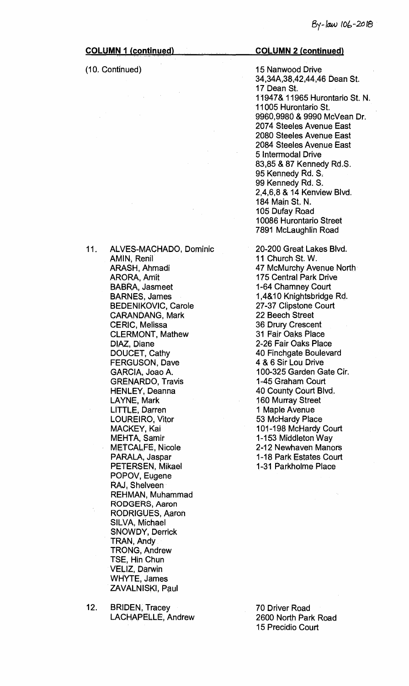**(10. Continued)** 

## **COLUMN 2 (continued)**

**15 Nanwood Drive 34,34A,38,42,44,46 Dean St. 17 Dean St. 11947& 11965 Hurontario St. N. 11005 Hurontario St. 9960,9980 & 9990 McVean Dr. 2074 Steeles Avenue East 2080 Steeles Avenue East 2084 Steeles Avenue East 5 Intermodal Drive 83,85 & 87 Kennedy Rd.S. 95 Kennedy Rd. S. 99 Kennedy Rd. S. 2,4,6,8 & 14 Kenview Blvd. 184 Main St. N. 105 Dufay Road 10086 Hurontario Street 7891 McLaughlin Road** 

**20-200 Great Lakes Blvd. 11 Church St. W. 47 McMurchy Avenue North 175 Central Park Drive 1-64 Chamney Court 1,4&10 Knightsbridge Rd. 27-37 Clipstone Court 22 Beech Street 36 Drury Crescent 31 Fair Oaks Place 2-26 Fair Oaks Place 40 Finchgate Boulevard 4 & 6 Sir Lou Drive 100-325 Garden Gate Cir. 1-45 Graham, Court 40 County Court Blvd. 160 Murray Street 1 Maple Avenue 53 McHardy Place 101-198 McHardy Court 1-153 Middleton Way 2-12 Newhaven Manors 1-18 Park Estates Court 1-31 Parkholme Place** 

**AMIN, Renil ARASH, Ahmadi ARORA, Amit BABRA, Jasmeet BARNES, James BEDENIKOVIC, Carole CARANDANG, Mark CERIC, Melissa CLERMONT, Mathew DIAZ, Diane DOUCET, Cathy FERGUSON, Dave GARCIA, Joao A. GRENARDO, Travis HENLEY, Deanna LAYNE, Mark LITTLE, Darren LOUREIRO, Vitor MACKEY, Kai MEHTA, Samir METCALFE, Nicole PARALA, Jaspar PETERSEN, Mikael POPOV, Eugene RAJ, Shelveen REHMAN, Muhammad RODGERS, Aaron RODRIGUES, Aaron SILVA, Michael SNOWDY, Derrick TRAN, Andy TRONG, Andrew TSE, Hin Chun VELIZ, Darwin WHYTE, James ZAVALNISKI, Paul** 

**11. ALVES-MACHADO, Dominic** 

**12. BRIDEN, Tracey LACHAPELLE, Andrew** 

**70 Driver Road 2600 North Park Road 15 Precidio Court**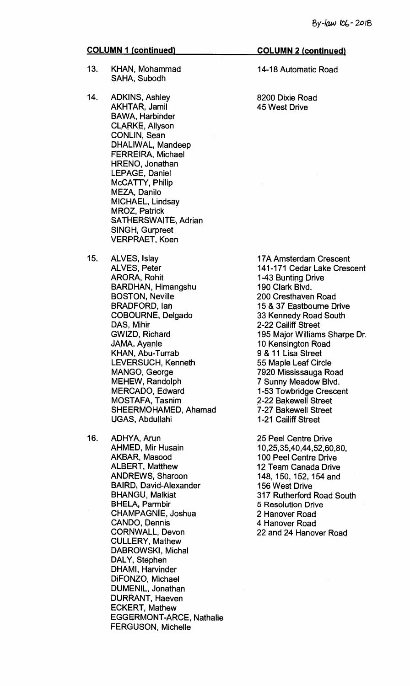- **13. KHAN, Mohammad SAHA, Subodh**
- **14. ADKINS, Ashley AKHTAR, Jamil BAWA, Harbinder CLARKE, Allyson CONLIN, Sean DHALIWAL, Mandeep FERREIRA, Michael HRENO, Jonathan LEPAGE, Daniel McCATTY, Philip MEZA, Danilo MICHAEL, Lindsay MROZ, Patrick SATHERSVVAITE, Adrian SINGH, Gurpreet VERPRAET, Koen**
- **15. ALVES, Islay ALVES, Peter ARORA, Rohit BARDHAN, Himangshu BOSTON, Neville BRADFORD, Ian COBOURNE, Delgado DAS, Mihir GWIZD, Richard JAMA, Ayanle KHAN, Abu-Turrab LEVERSUCH, Kenneth MANGO, George MEHEW, Randolph MERCADO, Edward MOSTAFA, Tasnim SHEERMOHAMED, Ahamad UGAS, Abdullahi**
- **16. ADHYA, Arun AHMED, Mir Husain AKBAR, Masood ALBERT, Matthew ANDREWS, Sharoon BAIRD, David-Alexander BHANGU, Malkiat BHELA, Parmbir CHAMPAGNIE, Joshua CANDO, Dennis CORNWALL, Devon CULLERY, Mathew DABROWSKI, Michal DALY, Stephen DHAMI, Harvinder DiFONZO, Michael DUMENIL, Jonathan DURRANT, Haeven ECKERT, Mathew EGGERMONT-ARCE, Nathalie FERGUSON, Michelle**

### **COLUMN 2 (continued)**

**14-18 Automatic Road** 

**8200 Dixie Road 45 West Drive** 

**17A Amsterdam Crescent 141-171 Cedar Lake Crescent 1-43 Bunting Drive 190 Clark Blvd. 200 Cresthaven Road 15 & 37 Eastbourne Drive 33 Kennedy Road South 2-22 Cailiff Street 195 Major Williams Sharpe Dr. 10 Kensington Road 9 & 11 Lisa Street 55 Maple Leaf Circle 7920 Mississauga Road 7 Sunny Meadow Blvd. 1-53 Towbridge Crescent 2-22 Bakewell Street 7-27 Bakewell Street 1-21 Cailiff Street** 

**25 Peel Centre Drive 10,25,35,40,44,52,60,80, 100 Peel Centre Drive 12 Team Canada Drive 148, 150, 152, 154 and 156 West Drive 317 Rutherford Road South 5 Resolution Drive 2 Hanover Road 4 Hanover Road 22 and 24 Hanover Road**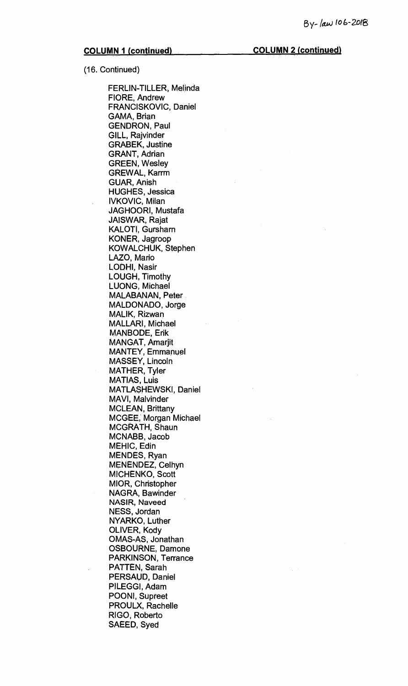### **COLUMN 1 (continued). COLUMN 2 (continued)**

**(16. Continued)** 

**FERLIN-TILLER, Melinda FIORE, Andrew FRANCISKOVIC, Daniel GAMA, Brian GENDRON, Paul GILL, Rajvinder GRABEK, Justine GRANT, Adrian GREEN, Wesley GREWAL, Karrm GUAR, Anish HUGHES, Jessica IVKOVIC, Milan JAGHOORI, Mustafa JAISWAR, Rajat KALOTI, Gursharn KONER, Jagroop KOWALCHUK, Stephen LAZO, Mario LODHI, Nasir LOUGH, Timothy LUONG, Michael MALABANAN, Peter MALDONADO, Jorge MALIK, Rizwan MALLARI, Michael MANBODE, Erik MANGAT, Amarjit MANTEY, Emmanuel MASSEY, Lincoln MATHER, Tyler MATIAS, Luis MATLASHEWSKI, Daniel MAVI, Malvinder MCLEAN, Brittany MCGEE, Morgan Michael MCGRATH, Shaun MCNABB, Jacob MEHIC, Edin MENDES, Ryan MENENDEZ, Celhyn MICHENKO, Scott MIOR, Christopher NAGRA, Bawinder NASIR, Naveed NESS, Jordan NYARKO, Luther OLIVER, Kody OMAS-AS, Jonathan OSBOURNE, Damone PARKINSON, Terrance PATTEN, Sarah PERSAUD, Daniel PILEGGI, Adam POONI, Supreet PROULX, Rachelle RIGO, Roberto SAEED, Syed**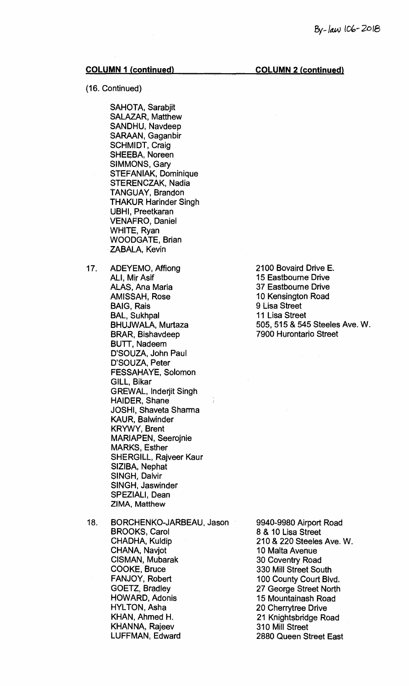## **COLUMN 1 (continued) COLUMN 2 (continued)**

### (16. Continued)

SAHOTA, Sarabjit SALAZAR, Matthew SANDHU, Navdeep SARAAN, Gaganbir SCHMIDT, Craig SHEEBA, Noreen SIMMONS, Gary STEFANIAK, Dominique STERENCZAK, Nadia TANGUAY, Brandon THAKUR Harinder Singh UBHI, Preetkaran VENAFRO, Daniel WHITE, Ryan WOODGATE, Brian ZABALA, Kevin

17. ADEYEMO, Affiong ALI, Mir Asif ALAS, Ana Maria AMISSAH, Rose BAIG, Rais BAL, Sukhpal BHUJWALA, Murtaza BRAR, Bishavdeep BUTT, Nadeem D'SOUZA, John Paul D'SOUZA, Peter FESSAHAYE, Solomon GILL, Bikar GREWAL, Inderjit Singh HAIDER, Shane JOSHI, Shaveta Sharma KAUR, Balwinder KRYWY, Brent MARIAPEN, Seerojnie MARKS, Esther SHERGILL, Rajveer Kaur SIZIBA, Nephat SINGH, Dalvir SINGH, Jaswinder SPEZIALI, Dean ZIMA, **Matthew** 

 $\frac{1}{4}$ 

18. BORCHENKO-JARBEAU, Jason BROOKS, Carol CHADHA, Kuldip CHANA, Navjot CISMAN, Mubarak COOKE, Bruce FANJOY, Robert GOETZ, Bradley HOWARD, Adonis HYLTON, Asha KHAN, Ahmed H. KHANNA, Rajeev LUFFMAN, Edward

9940-9980 Airport Road 8 & 10 Lisa Street 210 & 220 Steeles Ave. W. 10 Malta Avenue 30 Coventry Road 330 Mill Street South 100 County Court Blvd. 27 George Street North 15 Mountainash Road 20 Cherrytree Drive 21 Knightsbridge Road 310 Mill Street 2880 Queen Street East

2100 Bovaird Drive E. 15 Eastboume Drive 37 Eastbourne Drive 10 Kensington Road 9 Lisa Street 11 Lisa Street 505, 515 & 545 Steeles Ave. W. 7900 Hurontario Street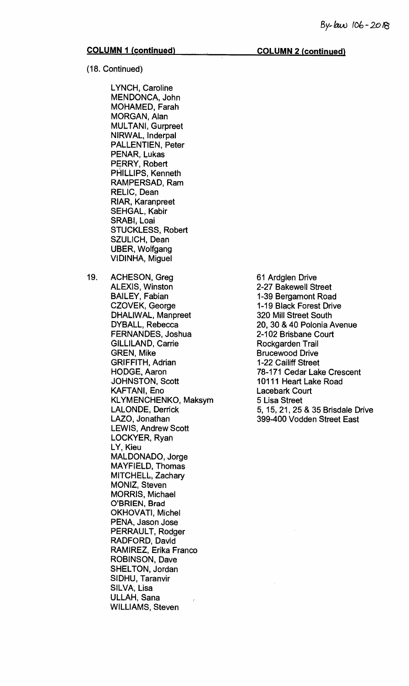(18. Continued)

LYNCH, Caroline MENDONCA, John MOHAMED, Farah MORGAN, Alan MULTANI, Gurpreet NIRWAL, Inderpal PALLENTIEN, Peter PENAR, Lukas PERRY, Robert PHILLIPS, Kenneth RAMPERSAD, Ram RELIC, Dean RIAR, Karanpreet SEHGAL, Kabir SRABI, Loai STUCKLESS, Robert SZULICH, Dean UBER, Wolfgang VIDINHA, Miguel

19. ACHESON, Greg ALEXIS, Winston BAILEY, Fabian CZOVEK, George DHALIWAL, Manpreet DYBALL, Rebecca FERNANDES, Joshua GILLILAND, Carrie GREN, Mike GRIFFITH, Adrian HODGE, Aaron JOHNSTON, Scott KAFTAN!, Eno KLYMENCHENKO, Maksym LALONDE, Derrick LAZO, Jonathan LEWIS, Andrew Scott LOCKYER, Ryan LY, Kieu MALDONADO, Jorge MAYFIELD, Thomas MITCHELL, Zachary MONIZ, Steven MORRIS, Michael O'BRIEN, **Brad**  OKHOVATI, Michel PENA, Jason Jose PERRAULT, Rodger RADFORD, David RAMIREZ, Erika Franco ROBINSON, Dave SHELTON, Jordan SIDHU, Taranvir SILVA, Lisa ULLAH, Sana WILLIAMS, Steven

61 Ardglen Drive 2-27 Bakewell Street 1-39 Bergamont Road 1-19 Black Forest Drive 320 Mill Street South 20, 30 & 40 Polonia Avenue 2-102 Brisbane Court Rockgarden Trail Brucewood Drive 1-22 Cailiff Street 78-171 Cedar Lake Crescent 10111 Heart. Lake Road Lacebark Court 5 Lisa Street 5, 15, 21, 25 & 35 Brisdale Drive 399-400 Vodden Street East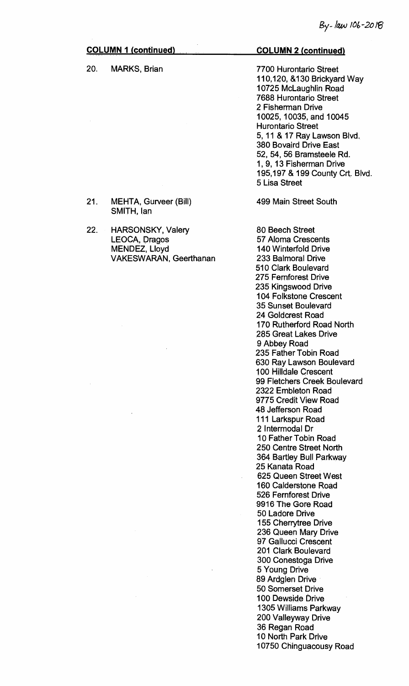## **COLUMN 1 (continued) COLUMN 2 (continued) 20. MARKS, Brian 7700 Hurontario Street 110,120, &130 Brickyard Way 10725 McLaughlin Road 7688 Hurontario Street 2 Fisherman Drive 10025, 10035, and 10045 Hurontario Street 5, 11 & 17 Ray Lawson Blvd. 380 Bovaird Drive East 52, 54, 56 Bramsteele Rd. 1, 9, 13 Fisherman Drive 195,197 & 199 County Crt. Blvd. 5 Lisa Street 499 Main Street South 80 Beech Street 57 Aloma Crescents 140 Winterfold Drive 233 Balmoral Drive 510 Clark Boulevard 275 Fernforest Drive 235 Kingswood Drive 104 Folkstone Crescent 35 Sunset Boulevard 24 Goldcrest Road 170 Rutherford Road North 285 Great Lakes Drive 9 Abbey Road 235 Father Tobin Road 630 Ray Lawson Boulevard 100 Hilldale Crescent 99 Fletchers Creek Boulevard 2322 Embleton Road 9775 Credit View Road 48 Jefferson Road 111 Larkspur Road 2 Intermodal Dr 10 Father Tobin Road 250 Centre Street North 364 Bartley Bull Parkway 25 Kanata Road 625 Queen Street West 21. MEHTA, Gurveer (Bill) SMITH, Ian 22. HARSONSKY, Valery LEOCA, Dragos MENDEZ, Lloyd VAKESWARAN, Geerthanan**

**10 North Park Drive** 

**5 Young Drive 89 Ardglen Drive 50 Somerset Drive 100 Dewside Drive 1305 Williams Parkway 200 Valleyway Drive 36 Regan Road** 

**160 Calderstone Road 526 Fernforest Drive 9916 The Gore Road 50 Ladore Drive 155 Cherrytree Drive 236 Queen Mary Drive 97 Gallucci Crescent 201 Clark Boulevard 300 Conestoga Drive** 

**10750 Chinguacousy Road**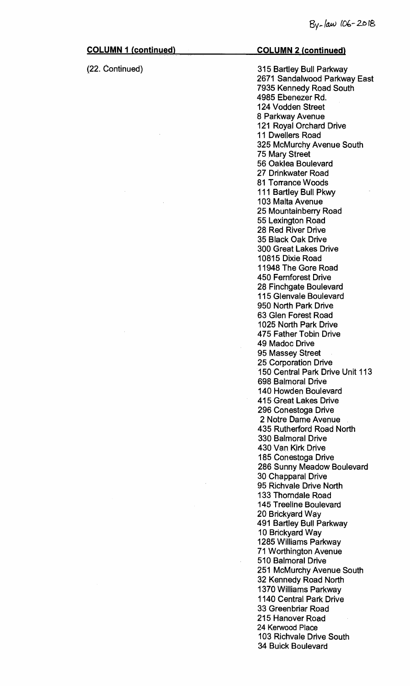## **COLUMN 1 (continued) (22. Continued) COLUMN 2 (continued) 315 Bartley Bull Parkway 2671 Sandalwood Parkway East 7935 Kennedy Road South 4985 Ebenezer Rd. 124 Vodden Street 8 Parkway Avenue 121 Royal Orchard Drive 11 Dwellers Road 325 McMurchy Avenue South 75 Mary Street 56 Oaklea Boulevard 27 Drinkwater Road 81 Torrance Woods 111 Bartley Bull Pkwy 103 Malta Avenue 25 Mountainberry Road 55 Lexington Road 28 Red River Drive 35 Black Oak. Drive 300 Great Lakes Drive 10815 Dixie Road 11948 The Gore Road 450 Fernforest Drive 28 Finchgate Boulevard 115 Glenvale Boulevard 950 North Park. Drive 63 Glen Forest Road 1025 North Park Drive 475 Father Tobin Drive 49 Madoc Drive 95 Massey Street 25 Corporation Drive 150 Central Park Drive Unit 113 698 Balmoral Drive 140 Howden Boulevard 415 Great Lakes Drive 296 Conestoga Drive 2 Notre Dame Avenue 435 Rutherford Road North 330 Balmoral Drive 430 Van Kirk Drive 185 Conestoga Drive 286 Sunny Meadow Boulevard 30 Chapparal Drive 95 Richvale Drive North 133 Thorndale Road 145 Treeline Boulevard 20 Brickyard Way 491 Bartley Bull Parkway 10 Brickyard Way 1285 Williams Parkway 71 Worthington Avenue 510 Balmoral Drive 251 McMurchy Avenue South 32 Kennedy Road North 1370 Williams Parkway 1140 Central Park Drive 33 Green briar Road**

**215 Hanover Road**  24 Kerwood Place

34 Buick Boulevard

103 Richvale Drive South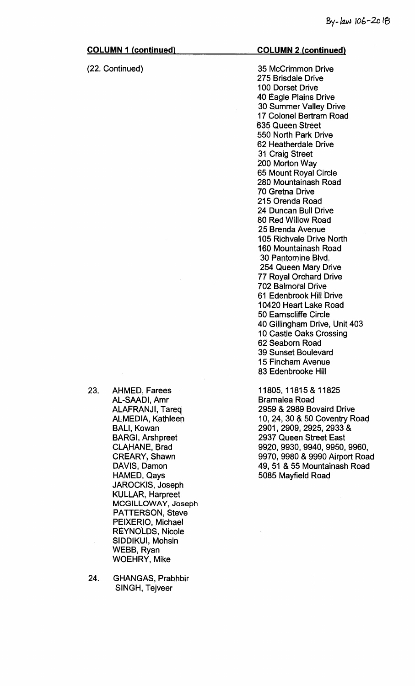## **(22. Continued)**

### **COLUMN 2\_(continued)**

**35 McCrimmon Drive 275 Brisdale Drive 100 Dorset Drive 40 Eagle Plains Drive 30 Summer Valley Drive 17 Colonel Bertram Road 635 Queen Street 550 North Park Drive 62 Heatherdale Drive 31 Craig Street 200 Morton Way 65 Mount Royal Circle 28**.**0 Mountainash Road 70 Gretna Drive 215 Orenda Road 24 Duncan Bull Drive 80 Red Willow Road 25 Brenda Avenue 105 Richvale Drive North 160 Mountainash Road 30 Pantomine Blvd. 254 Queen Mary Drive 77 Royal Orchard Drive 702 Balmoral Drive 61 Edenbrook Hill Drive 10420 Heart Lake Road 50 Earnscliffe Circle 40 Gillingham Drive, Unit 403 10 Castle Oaks Crossing 62 Seaborn Road 39 Sunset Boulevard 15 Fincham Avenue 83 Edenbrooke Hill** 

**11805, 11815 & 11825 Bramalea Road 2959 & 2989 Bovaird Drive 10, 24, 30 & 50 Coventry Road 2901, 2909, 2925, 2933 & 2937 Queen Street East 9920, 9930, 9940, 9950, 9960, 9970, 9980 & 9990 Airport Road 49, 51 & 55 Mountainash Road 5085 Mayfield Road** 

- **23. AHMED, Farees AL-SAADI, Amr ALAFRANJI, Tareq ALMEDIA, Kathleen BALI, Kowan BARGI, Arshpreet CLAHANE, Brad CREARY, Shawn DAVIS, Damon NAMED, Qays JAROCKIS, Joseph KULLAR, Harpreet MCGILLOWAY, Joseph PATTERSON, Steve PEIXERIO, Michael REYNOLDS, Nicole SIDDIKUI, Mohsin WEBB, Ryan WOEHRY, Mike**
- **24. GHANGAS, Prabhbir SINGH, Tejveer**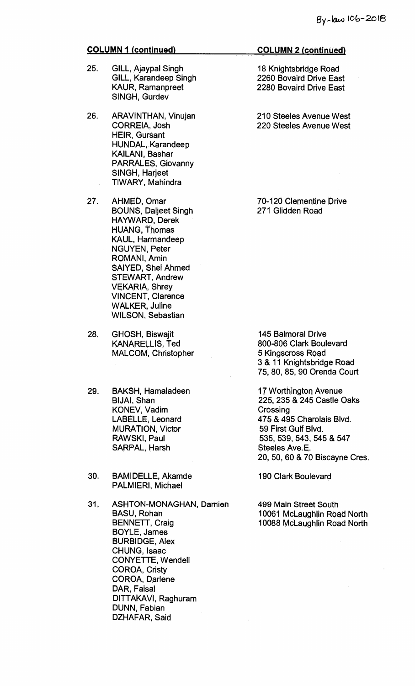- 25. GILL, Ajaypal Singh GILL, Karandeep Singh KAUR, Ramanpreet SINGH, Gurdev
- 26. ARAVINTHAN, Vinujan CORREIA, Josh HEIR, Gursant HUNDAL, Karandeep KAILANI, Bashar PARRALES, Giovanny SINGH, Harjeet TIWARY, Mahindra
- 27. AHMED, Omar BOUNS, Daljeet Singh HAYWARD, Derek HUANG, Thomas KAUL, Harmandeep NGUYEN, Peter ROMANI, Amin SAIYED, Shel Ahmed STEWART, Andrew VEKARIA, Shrey VINCENT, Clarence WALKER, Juline WILSON, Sebastian
- 28. GHOSH, Biswajit KANARELLIS, Ted MALCOM, Christopher
- 29. BAKSH, Hamaladeen BIJAI, Shan KONEV, Vadim LABELLE, Leonard MURATION, Victor RAWSKI, Paul SARPAL, Harsh
- 30. BAMIDELLE, Akamde PALMIERI, Michael
- 31. ASHTON-MONAGHAN, Damien BASU, Rohan BENNETT, Craig BOYLE, James BURBIDGE, Alex CHUNG, Isaac CONYETTE, Wendell COROA, Cristy COROA, Darlene DAR, Faisal DITTAKAVI, Raghuram DUNN, Fabian DZHAFAR, Said

### **COLUMN 2 (continued)**

18 Knightsbridge Road 2260 Bovaird Drive East 2280 Bovaird Drive East

210 Steeles Avenue West 220 Steeles Avenue West

70-120 Clementine Drive 271 Glidden Road

145 Balmoral Drive 800-806 Clark Boulevard 5 Kingscross Road 3 & 11 Knightsbridge Road 75, 80, 85, 90 Orenda Court

17 Worthington Avenue 225, 235 & 245 Castle Oaks **Crossing** 475 & 495 Charolais Blvd. 59 First Gulf Blvd. 535, 539, 543, 545 & 547 Steeles Ave. E. 20, 50, 60 & 70 Biscayne Cres.

190 Clark Boulevard

499 Main Street South 10061 McLaughlin Road North 10088 McLaughlin Road North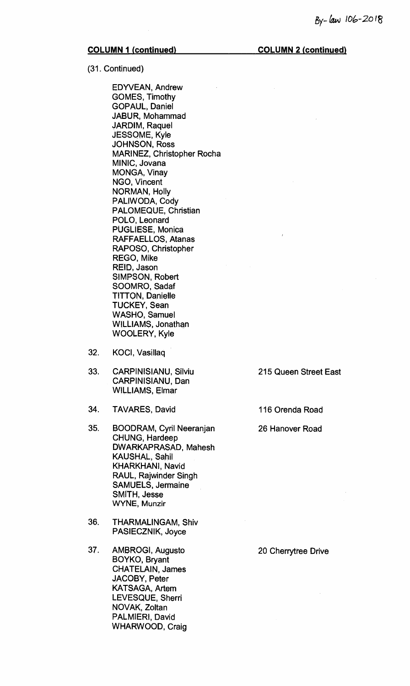**COLUMN 1 (continued) COLUMN 2 (continued)** 

(31. Continued)

EDYVEAN, Andrew GOMES, Timothy GOPAUL, Daniel JABUR, Mohammad JARDIM, Raquel JESSOME, Kyle JOHNSON, Ross MARINEZ, Christopher Rocha MINIC, Jovana MONGA, Vinay NGO, Vincent NORMAN, Holly PALIWODA, Cody PALOMEQUE, Christian POLO, Leonard PUGLIESE, Monica RAFFAELLOS, Atanas RAPOSO, Christopher REGO, Mike REID, Jason SIMPSON, Robert SOOMRO, Sadaf TITTON, Danielle TUCKEY, Sean WASHO, Samuel WILLIAMS, Jonathan WOOLERY, Kyle

- 32. KOCI, Vasillaq
- 33. CARPINISIANU, Silviu 215 Queen Street East CARPINISIANU, Dan WILLIAMS, Elmar
- 34. TAVARES, David 116 Orenda Road
- 35. BOODRAM, Cyril Neeranjan 26 Hanover Road CHUNG, Hardeep DWARKAPRASAD, Mahesh KAUSHAL, Sahil KHARKHANI, Navid RAUL, Rajwinder Singh SAMUELS, Jermaine SMITH, Jesse WYNE, **Munzir**
- 36. THARMALINGAM, Shiv PASIECZNIK, Joyce
- 37. AMBROGI, Augusto 20 Cherrytree Drive BOYKO, Bryant CHATELAIN, James JACOBY, Peter KATSAGA, Artem LEVESQUE, Sherri NOVAK, Zoltan PALMIERI, David WHARWOOD, Craig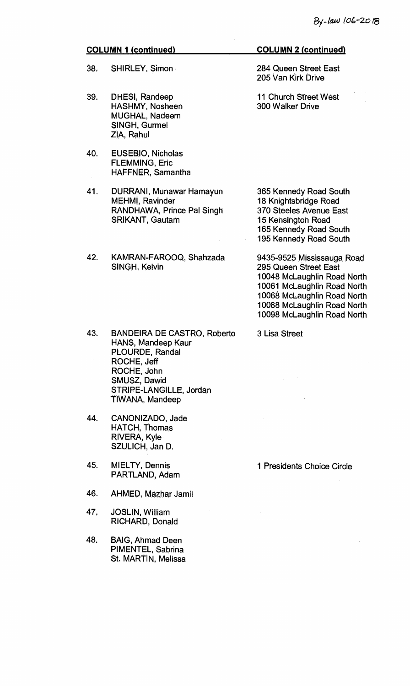- 38. SHIRLEY, Simon
- 39. DHESI, Randeep HASHMY, Nosheen MUGHAL, Nadeem SINGH, Gurmel ZIA, Rahul
- 40. EUSEBIO, Nicholas FLEMMING, Eric HAFFNER, Samantha
- 41. DURRANI, Munawar Hamayun MEHMI, Ravinder RANDHAWA, Prince Pal Singh SRIKANT, Gautam
- 42. KAMRAN-FAROOQ, Shahzada SINGH, Kelvin

## 43. BANDEIRA DE CASTRO, Roberto HANS, Mandeep Kaur PLOURDE, Randal ROCHE, Jeff ROCHE, John SMUSZ, Dawid STRIPE-LANGILLE, Jordan TIWANA, Mandeep

- 44. CANONIZADO, Jade HATCH, Thomas RIVERA, Kyle SZULICH, Jan D.
- 45. MIELTY, Dennis PARTLAND, Adam
- 46. AHMED, Mazhar Jamil
- 47. JOSLIN, William RICHARD, Donald
- 48. BAIG, Ahmad Deen PIMENTEL, Sabrina St. MARTIN, Melissa

### **COLUMN 2 (continued)**

284 Queen Street East 205 Van Kirk Drive

11 Church Street West 300 Walker Drive

365 Kennedy Road South 18 Knightsbridge Road 370 Steeles Avenue East 15 Kensington Road 165 Kennedy Road South 195 Kennedy Road South

9435-9525 Mississauga Road 295 Queen Street East 10048 McLaughlin Road North 10061 McLaughlin Road North 10068 McLaughlin Road North 10088 McLaughlin Road North 10098 McLaughlin Road North

3 Lisa Street

1 Presidents Choice Circle